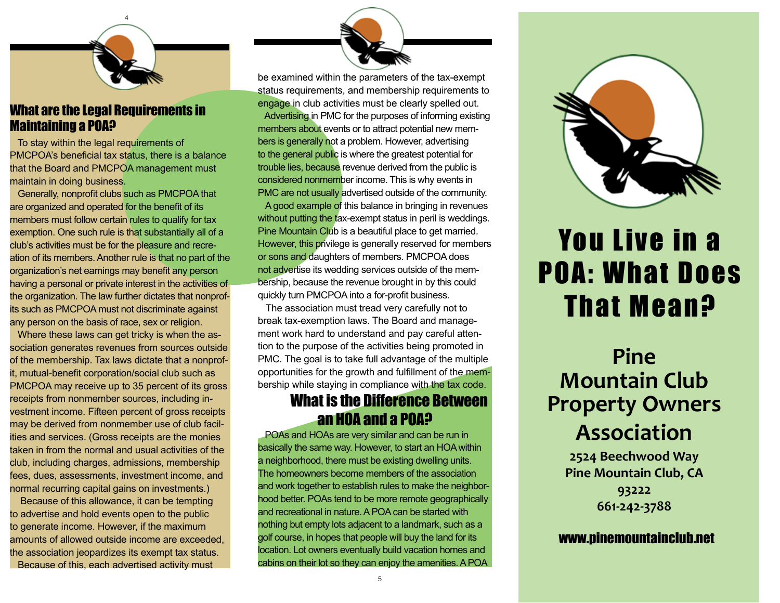

#### What are the Legal Requirements in Maintaining a POA?

 To stay within the legal requirements of PMCPOA's beneficial tax status, there is a balance that the Board and PMCPOA management must maintain in doing business.

 Generally, nonprofit clubs such as PMCPOA that are organized and operated for the benefit of its members must follow certain rules to qualify for tax exemption. One such rule is that substantially all of a club's activities must be for the pleasure and recreation of its members. Another rule is that no part of the organization's net earnings may benefit any person having a personal or private interest in the activities of the organization. The law further dictates that nonprofits such as PMCPOA must not discriminate against any person on the basis of race, sex or religion.

 Where these laws can get tricky is when the association generates revenues from sources outside of the membership. Tax laws dictate that a nonprofit, mutual-benefit corporation/social club such as PMCPOA may receive up to 35 percent of its gross receipts from nonmember sources, including investment income. Fifteen percent of gross receipts may be derived from nonmember use of club facilities and services. (Gross receipts are the monies taken in from the normal and usual activities of the club, including charges, admissions, membership fees, dues, assessments, investment income, and normal recurring capital gains on investments.)

 Because of this allowance, it can be tempting to advertise and hold events open to the public to generate income. However, if the maximum amounts of allowed outside income are exceeded, the association jeopardizes its exempt tax status. Because of this, each advertised activity must

be examined within the parameters of the tax-exempt status requirements, and membership requirements to engage in club activities must be clearly spelled out. Advertising in PMC for the purposes of informing existing members about events or to attract potential new members is generally not a problem. However, advertising to the general public is where the greatest potential for trouble lies, because revenue derived from the public is considered nonmember income. This is why events in PMC are not usually advertised outside of the community.

 A good example of this balance in bringing in revenues without putting the tax-exempt status in peril is weddings. Pine Mountain Club is a beautiful place to get married. However, this privilege is generally reserved for members or sons and daughters of members. PMCPOA does not advertise its wedding services outside of the membership, because the revenue brought in by this could quickly turn PMCPOA into a for-profit business.

 The association must tread very carefully not to break tax-exemption laws. The Board and management work hard to understand and pay careful attention to the purpose of the activities being promoted in PMC. The goal is to take full advantage of the multiple opportunities for the growth and fulfillment of the membership while staying in compliance with the tax code.

### What is the Difference Between an HOA and a POA?

 POAs and HOAs are very similar and can be run in basically the same way. However, to start an HOA within a neighborhood, there must be existing dwelling units. The homeowners become members of the association and work together to establish rules to make the neighborhood better. POAs tend to be more remote geographically and recreational in nature. A POA can be started with nothing but empty lots adjacent to a landmark, such as a golf course, in hopes that people will buy the land for its location. Lot owners eventually build vacation homes and cabins on their lot so they can enjoy the amenities. A POA



# You Live in a POA: What Does That Mean?

### **Pine Mountain Club Property Owners Association**

**2524 Beechwood Way Pine Mountain Club, CA 93222 661-242-3788**

#### www.pinemountainclub.net